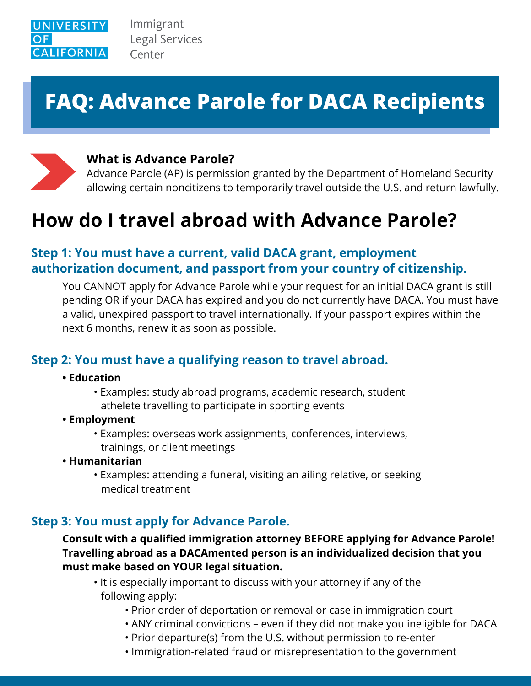

Immigrant **Legal Services** Center

# **FAQ: Advance Parole for DACA Recipients**



## **What is Advance Parole?**

Advance Parole (AP) is permission granted by the Department of Homeland Security allowing certain noncitizens to temporarily travel outside the U.S. and return lawfully.

# **How do I travel abroad with Advance Parole?**

## **Step 1: You must have a current, valid DACA grant, employment authorization document, and passport from your country of citizenship.**

 You CANNOT apply for Advance Parole while your request for an initial DACA grant is still pending OR if your DACA has expired and you do not currently have DACA. You must have a valid, unexpired passport to travel internationally. If your passport expires within the next 6 months, renew it as soon as possible.

## **Step 2: You must have a qualifying reason to travel abroad.**

- **Education**
	- Examples: study abroad programs, academic research, student athelete travelling to participate in sporting events
- **Employment**
	- Examples: overseas work assignments, conferences, interviews, trainings, or client meetings
- **Humanitarian**
	- Examples: attending a funeral, visiting an ailing relative, or seeking medical treatment

### **Step 3: You must apply for Advance Parole.**

#### **Consult with a qualified immigration attorney BEFORE applying for Advance Parole! Travelling abroad as a DACAmented person is an individualized decision that you must make based on YOUR legal situation.**

- It is especially important to discuss with your attorney if any of the following apply:
	- Prior order of deportation or removal or case in immigration court
	- ANY criminal convictions even if they did not make you ineligible for DACA
	- Prior departure(s) from the U.S. without permission to re-enter
	- Immigration-related fraud or misrepresentation to the government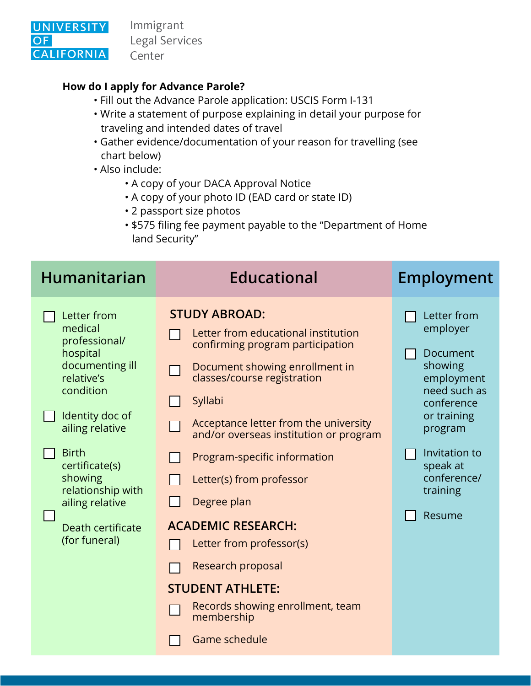

Immigrant Legal Services Center

### **How do I apply for Advance Parole?**

- Fill out the Advance Parole application: [USCIS Form I-131](https://www.uscis.gov/i-131)
- Write a statement of purpose explaining in detail your purpose for traveling and intended dates of travel
- Gather evidence/documentation of your reason for travelling (see chart below)
- Also include:
	- A copy of your DACA Approval Notice
	- A copy of your photo ID (EAD card or state ID)
	- 2 passport size photos
	- \$575 filing fee payment payable to the "Department of Home land Security"

| <b>Humanitarian</b>                                                                                                                                                                                                                                                | <b>Educational</b>                                                                                                                                                                                                                                                                                                                                                                                                                                                                                                    | <b>Employment</b>                                                                                                                                                                      |
|--------------------------------------------------------------------------------------------------------------------------------------------------------------------------------------------------------------------------------------------------------------------|-----------------------------------------------------------------------------------------------------------------------------------------------------------------------------------------------------------------------------------------------------------------------------------------------------------------------------------------------------------------------------------------------------------------------------------------------------------------------------------------------------------------------|----------------------------------------------------------------------------------------------------------------------------------------------------------------------------------------|
| Letter from<br>medical<br>professional/<br>hospital<br>documenting ill<br>relative's<br>condition<br>Identity doc of<br>ailing relative<br><b>Birth</b><br>certificate(s)<br>showing<br>relationship with<br>ailing relative<br>Death certificate<br>(for funeral) | <b>STUDY ABROAD:</b><br>Letter from educational institution<br>confirming program participation<br>Document showing enrollment in<br>classes/course registration<br>Syllabi<br>Acceptance letter from the university<br>and/or overseas institution or program<br>Program-specific information<br>Letter(s) from professor<br>Degree plan<br><b>ACADEMIC RESEARCH:</b><br>Letter from professor(s)<br>Research proposal<br><b>STUDENT ATHLETE:</b><br>Records showing enrollment, team<br>membership<br>Game schedule | Letter from<br>employer<br>Document<br>showing<br>employment<br>need such as<br>conference<br>or training<br>program<br>Invitation to<br>speak at<br>conference/<br>training<br>Resume |